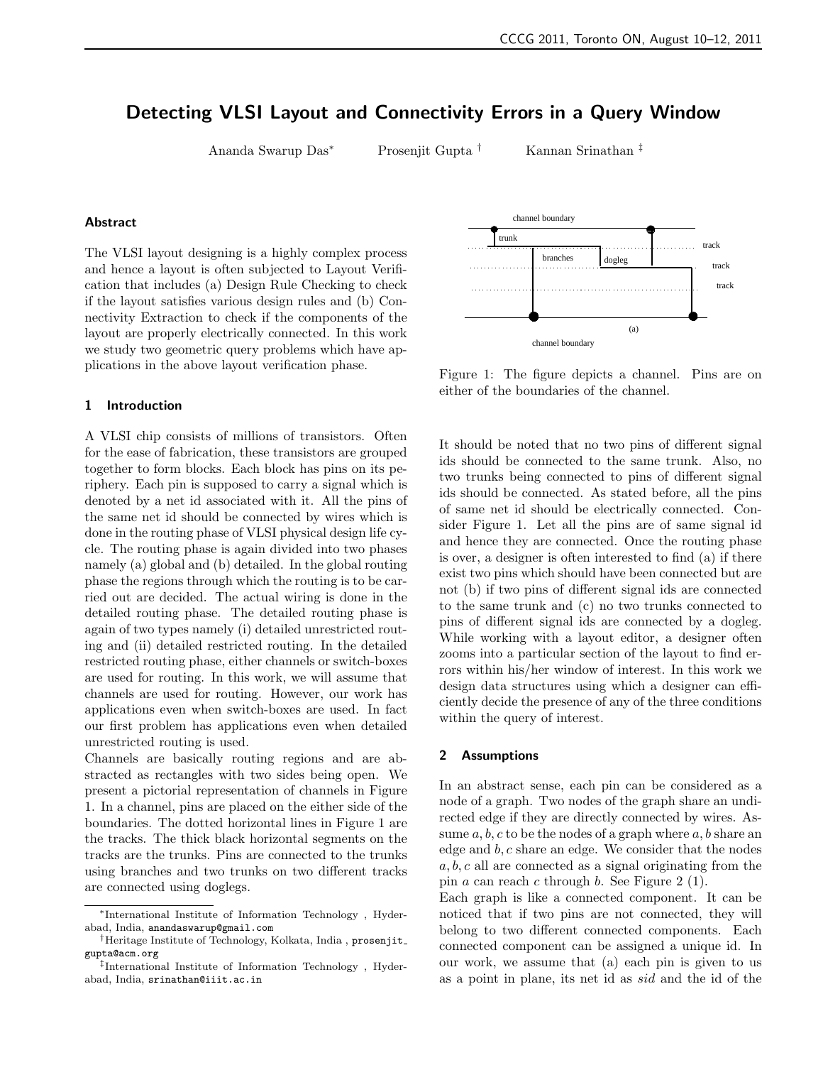# Detecting VLSI Layout and Connectivity Errors in a Query Window

Ananda Swarup Das<sup>∗</sup> Prosenjit Gupta † Kannan Srinathan ‡

#### Abstract

The VLSI layout designing is a highly complex process and hence a layout is often subjected to Layout Verification that includes (a) Design Rule Checking to check if the layout satisfies various design rules and (b) Connectivity Extraction to check if the components of the layout are properly electrically connected. In this work we study two geometric query problems which have applications in the above layout verification phase.

#### 1 Introduction

A VLSI chip consists of millions of transistors. Often for the ease of fabrication, these transistors are grouped together to form blocks. Each block has pins on its periphery. Each pin is supposed to carry a signal which is denoted by a net id associated with it. All the pins of the same net id should be connected by wires which is done in the routing phase of VLSI physical design life cycle. The routing phase is again divided into two phases namely (a) global and (b) detailed. In the global routing phase the regions through which the routing is to be carried out are decided. The actual wiring is done in the detailed routing phase. The detailed routing phase is again of two types namely (i) detailed unrestricted routing and (ii) detailed restricted routing. In the detailed restricted routing phase, either channels or switch-boxes are used for routing. In this work, we will assume that channels are used for routing. However, our work has applications even when switch-boxes are used. In fact our first problem has applications even when detailed unrestricted routing is used.

Channels are basically routing regions and are abstracted as rectangles with two sides being open. We present a pictorial representation of channels in Figure 1. In a channel, pins are placed on the either side of the boundaries. The dotted horizontal lines in Figure 1 are the tracks. The thick black horizontal segments on the tracks are the trunks. Pins are connected to the trunks using branches and two trunks on two different tracks are connected using doglegs.



Figure 1: The figure depicts a channel. Pins are on either of the boundaries of the channel.

It should be noted that no two pins of different signal ids should be connected to the same trunk. Also, no two trunks being connected to pins of different signal ids should be connected. As stated before, all the pins of same net id should be electrically connected. Consider Figure 1. Let all the pins are of same signal id and hence they are connected. Once the routing phase is over, a designer is often interested to find (a) if there exist two pins which should have been connected but are not (b) if two pins of different signal ids are connected to the same trunk and (c) no two trunks connected to pins of different signal ids are connected by a dogleg. While working with a layout editor, a designer often zooms into a particular section of the layout to find errors within his/her window of interest. In this work we design data structures using which a designer can efficiently decide the presence of any of the three conditions within the query of interest.

#### 2 Assumptions

In an abstract sense, each pin can be considered as a node of a graph. Two nodes of the graph share an undirected edge if they are directly connected by wires. Assume  $a, b, c$  to be the nodes of a graph where  $a, b$  share an edge and  $b, c$  share an edge. We consider that the nodes  $a, b, c$  all are connected as a signal originating from the pin a can reach c through b. See Figure 2 (1).

Each graph is like a connected component. It can be noticed that if two pins are not connected, they will belong to two different connected components. Each connected component can be assigned a unique id. In our work, we assume that (a) each pin is given to us as a point in plane, its net id as sid and the id of the

<sup>∗</sup>International Institute of Information Technology , Hyderabad, India, anandaswarup@gmail.com

<sup>†</sup>Heritage Institute of Technology, Kolkata, India , prosenjit gupta@acm.org

<sup>‡</sup> International Institute of Information Technology , Hyderabad, India, srinathan@iiit.ac.in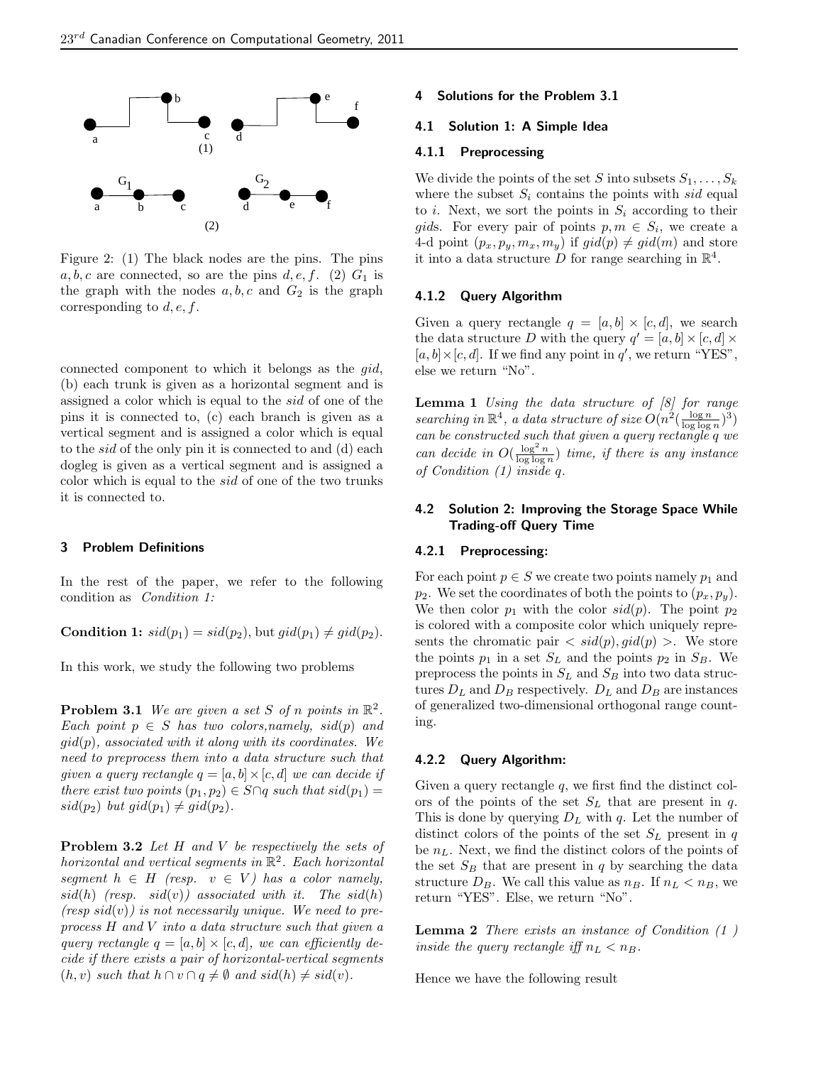

Figure 2: (1) The black nodes are the pins. The pins  $a, b, c$  are connected, so are the pins  $d, e, f$ . (2)  $G_1$  is the graph with the nodes  $a, b, c$  and  $G_2$  is the graph corresponding to  $d, e, f$ .

connected component to which it belongs as the gid, (b) each trunk is given as a horizontal segment and is assigned a color which is equal to the sid of one of the pins it is connected to, (c) each branch is given as a vertical segment and is assigned a color which is equal to the sid of the only pin it is connected to and (d) each dogleg is given as a vertical segment and is assigned a color which is equal to the sid of one of the two trunks it is connected to.

#### 3 Problem Definitions

In the rest of the paper, we refer to the following condition as Condition 1:

**Condition 1:**  $sid(p_1) = sid(p_2)$ , but  $gid(p_1) \neq gid(p_2)$ .

In this work, we study the following two problems

**Problem 3.1** We are given a set S of n points in  $\mathbb{R}^2$ . Each point  $p \in S$  has two colors, namely,  $sid(p)$  and  $qid(p)$ , associated with it along with its coordinates. We need to preprocess them into a data structure such that given a query rectangle  $q = [a, b] \times [c, d]$  we can decide if there exist two points  $(p_1, p_2) \in S \cap q$  such that  $sid(p_1) =$  $sid(p_2)$  but  $gid(p_1) \neq gid(p_2)$ .

**Problem 3.2** Let  $H$  and  $V$  be respectively the sets of horizontal and vertical segments in  $\mathbb{R}^2$ . Each horizontal segment  $h \in H$  (resp.  $v \in V$ ) has a color namely,  $sid(h)$  (resp.  $sid(v))$  associated with it. The  $sid(h)$  $(r \exp \, sid(v))$  is not necessarily unique. We need to preprocess H and V into a data structure such that given a query rectangle  $q = [a, b] \times [c, d]$ , we can efficiently decide if there exists a pair of horizontal-vertical segments  $(h, v)$  such that  $h \cap v \cap q \neq \emptyset$  and  $sid(h) \neq sid(v)$ .

## 4 Solutions for the Problem 3.1

### 4.1 Solution 1: A Simple Idea

#### 4.1.1 Preprocessing

We divide the points of the set S into subsets  $S_1, \ldots, S_k$ where the subset  $S_i$  contains the points with sid equal to i. Next, we sort the points in  $S_i$  according to their gids. For every pair of points  $p, m \in S_i$ , we create a 4-d point  $(p_x, p_y, m_x, m_y)$  if  $gid(p) \neq gid(m)$  and store it into a data structure  $\stackrel{\sim}{D}$  for range searching in  $\mathbb{R}^4$ .

#### 4.1.2 Query Algorithm

Given a query rectangle  $q = [a, b] \times [c, d]$ , we search the data structure D with the query  $q' = [a, b] \times [c, d] \times$  $[a, b] \times [c, d]$ . If we find any point in q', we return "YES", else we return "No".

**Lemma 1** Using the data structure of  $[8]$  for range searching in  $\mathbb{R}^4$ , a data structure of size  $O(n^2(\frac{\log n}{\log \log n})^3)$ can be constructed such that given a query rectangle q we can decide in  $O(\frac{\log^2 n}{\log \log n})$  time, if there is any instance of Condition (1) inside q.

### 4.2 Solution 2: Improving the Storage Space While Trading-off Query Time

#### 4.2.1 Preprocessing:

For each point  $p \in S$  we create two points namely  $p_1$  and  $p_2$ . We set the coordinates of both the points to  $(p_x, p_y)$ . We then color  $p_1$  with the color  $sid(p)$ . The point  $p_2$ is colored with a composite color which uniquely represents the chromatic pair  $\langle sid(p), gid(p) \rangle$ . We store the points  $p_1$  in a set  $S_L$  and the points  $p_2$  in  $S_B$ . We preprocess the points in  $S_L$  and  $S_B$  into two data structures  $D_L$  and  $D_B$  respectively.  $D_L$  and  $D_B$  are instances of generalized two-dimensional orthogonal range counting.

#### 4.2.2 Query Algorithm:

Given a query rectangle  $q$ , we first find the distinct colors of the points of the set  $S_L$  that are present in q. This is done by querying  $D<sub>L</sub>$  with q. Let the number of distinct colors of the points of the set  $S_L$  present in q be  $n<sub>L</sub>$ . Next, we find the distinct colors of the points of the set  $S_B$  that are present in q by searching the data structure  $D_B$ . We call this value as  $n_B$ . If  $n_L < n_B$ , we return "YES". Else, we return "No".

**Lemma 2** There exists an instance of Condition  $(1)$ inside the query rectangle iff  $n_L < n_B$ .

Hence we have the following result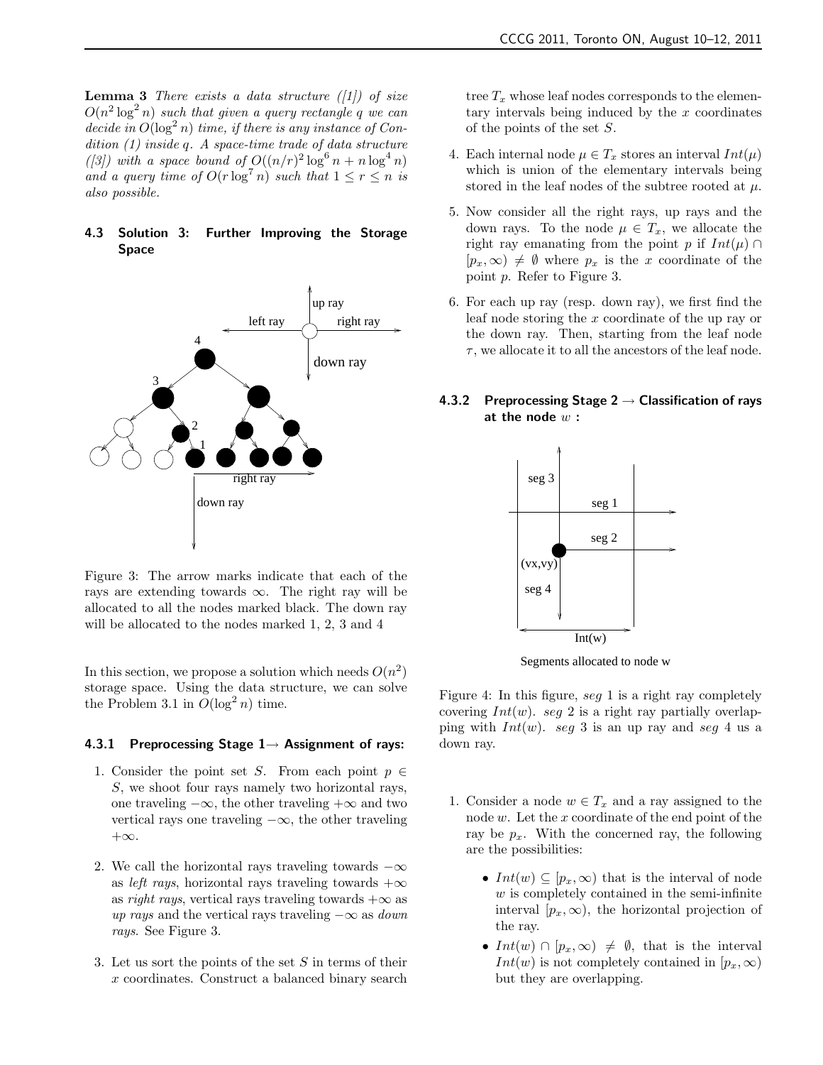**Lemma 3** There exists a data structure  $(|1|)$  of size  $O(n^2 \log^2 n)$  such that given a query rectangle q we can decide in  $O(\log^2 n)$  time, if there is any instance of Condition (1) inside q. A space-time trade of data structure ([3]) with a space bound of  $O((n/r)^2 \log^6 n + n \log^4 n)$ and a query time of  $O(r \log^7 n)$  such that  $1 \leq r \leq n$  is also possible.

### 4.3 Solution 3: Further Improving the Storage Space



Figure 3: The arrow marks indicate that each of the rays are extending towards  $\infty$ . The right ray will be allocated to all the nodes marked black. The down ray will be allocated to the nodes marked 1, 2, 3 and 4

In this section, we propose a solution which needs  $O(n^2)$ storage space. Using the data structure, we can solve the Problem 3.1 in  $O(\log^2 n)$  time.

### 4.3.1 Preprocessing Stage  $1 \rightarrow$  Assignment of rays:

- 1. Consider the point set S. From each point  $p \in$ S, we shoot four rays namely two horizontal rays, one traveling  $-\infty$ , the other traveling  $+\infty$  and two vertical rays one traveling  $-\infty$ , the other traveling  $+\infty$ .
- 2. We call the horizontal rays traveling towards  $-\infty$ as *left rays*, horizontal rays traveling towards  $+\infty$ as *right rays*, vertical rays traveling towards  $+\infty$  as up rays and the vertical rays traveling  $-\infty$  as *down* rays. See Figure 3.
- 3. Let us sort the points of the set S in terms of their x coordinates. Construct a balanced binary search

tree  $T_x$  whose leaf nodes corresponds to the elementary intervals being induced by the x coordinates of the points of the set S.

- 4. Each internal node  $\mu \in T_x$  stores an interval  $Int(\mu)$ which is union of the elementary intervals being stored in the leaf nodes of the subtree rooted at  $\mu$ .
- 5. Now consider all the right rays, up rays and the down rays. To the node  $\mu \in T_x$ , we allocate the right ray emanating from the point p if  $Int(\mu) \cap$  $[p_x, \infty) \neq \emptyset$  where  $p_x$  is the x coordinate of the point p. Refer to Figure 3.
- 6. For each up ray (resp. down ray), we first find the leaf node storing the x coordinate of the up ray or the down ray. Then, starting from the leaf node  $\tau$ , we allocate it to all the ancestors of the leaf node.

### 4.3.2 Preprocessing Stage  $2 \rightarrow$  Classification of rays at the node  $w$  :



Segments allocated to node w

Figure 4: In this figure, seg 1 is a right ray completely covering  $Int(w)$ . seq 2 is a right ray partially overlapping with  $Int(w)$ . seg 3 is an up ray and seg 4 us a down ray.

- 1. Consider a node  $w \in T_x$  and a ray assigned to the node w. Let the x coordinate of the end point of the ray be  $p_x$ . With the concerned ray, the following are the possibilities:
	- $Int(w) \subseteq [p_x, \infty)$  that is the interval of node  $w$  is completely contained in the semi-infinite interval  $[p_x, \infty)$ , the horizontal projection of the ray.
	- $Int(w) \cap [p_x, \infty) \neq \emptyset$ , that is the interval  $Int(w)$  is not completely contained in  $[p_x, \infty)$ but they are overlapping.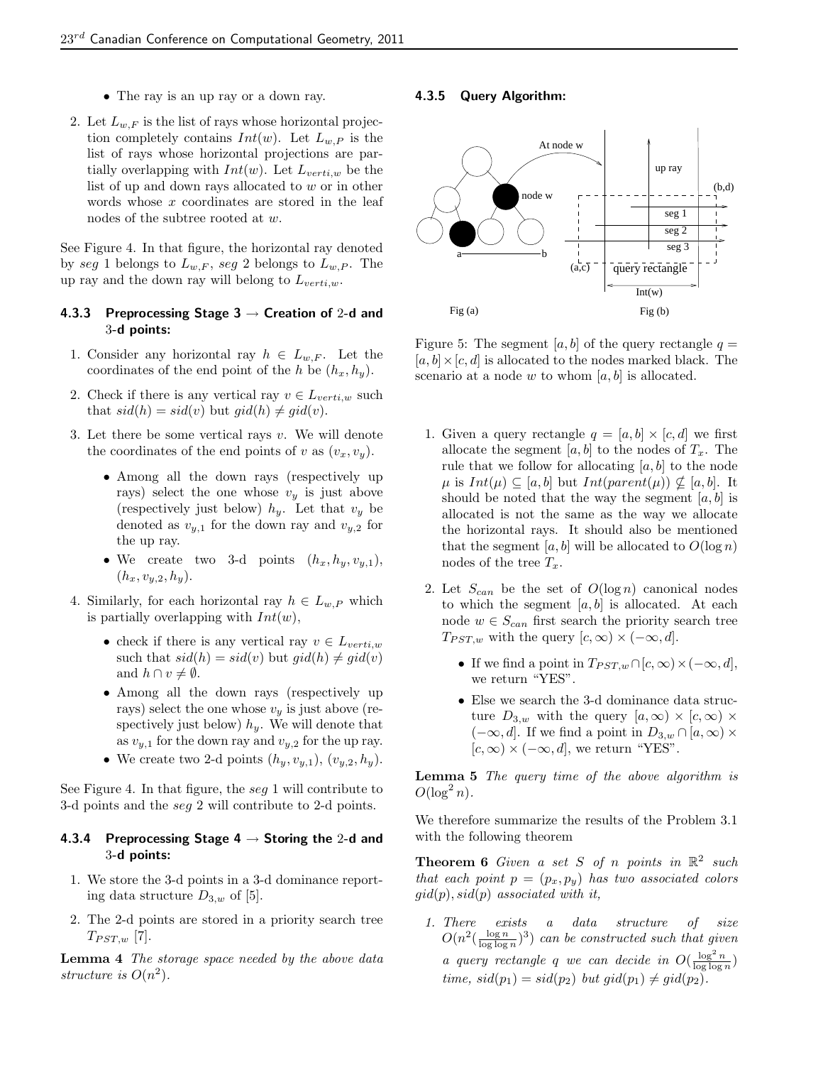- The ray is an up ray or a down ray.
- 2. Let  $L_{w,F}$  is the list of rays whose horizontal projection completely contains  $Int(w)$ . Let  $L_{w,P}$  is the list of rays whose horizontal projections are partially overlapping with  $Int(w)$ . Let  $L_{vert,w}$  be the list of up and down rays allocated to w or in other words whose x coordinates are stored in the leaf nodes of the subtree rooted at w.

See Figure 4. In that figure, the horizontal ray denoted by seg 1 belongs to  $L_{w,F}$ , seg 2 belongs to  $L_{w,P}$ . The up ray and the down ray will belong to  $L_{vert,w}$ .

### 4.3.3 Preprocessing Stage  $3 \rightarrow$  Creation of 2-d and 3-d points:

- 1. Consider any horizontal ray  $h \in L_{w,F}$ . Let the coordinates of the end point of the h be  $(h_x, h_y)$ .
- 2. Check if there is any vertical ray  $v \in L_{vert,w}$  such that  $sid(h) = sid(v)$  but  $gid(h) \neq gid(v)$ .
- 3. Let there be some vertical rays  $v$ . We will denote the coordinates of the end points of v as  $(v_x, v_y)$ .
	- Among all the down rays (respectively up rays) select the one whose  $v_y$  is just above (respectively just below)  $h_y$ . Let that  $v_y$  be denoted as  $v_{y,1}$  for the down ray and  $v_{y,2}$  for the up ray.
	- We create two 3-d points  $(h_x, h_y, v_{y,1}),$  $(h_x, v_{y,2}, h_y).$
- 4. Similarly, for each horizontal ray  $h \in L_{w,P}$  which is partially overlapping with  $Int(w)$ ,
	- check if there is any vertical ray  $v \in L_{verti,w}$ such that  $sid(h) = sid(v)$  but  $gid(h) \neq gid(v)$ and  $h \cap v \neq \emptyset$ .
	- Among all the down rays (respectively up rays) select the one whose  $v_y$  is just above (respectively just below)  $h_y$ . We will denote that as  $v_{y,1}$  for the down ray and  $v_{y,2}$  for the up ray.
	- We create two 2-d points  $(h_y, v_{y,1}), (v_{y,2}, h_y)$ .

See Figure 4. In that figure, the seg 1 will contribute to 3-d points and the seg 2 will contribute to 2-d points.

### 4.3.4 Preprocessing Stage  $4 \rightarrow$  Storing the 2-d and 3-d points:

- 1. We store the 3-d points in a 3-d dominance reporting data structure  $D_{3,w}$  of [5].
- 2. The 2-d points are stored in a priority search tree  $T_{PST,w}$  [7].

Lemma 4 The storage space needed by the above data structure is  $O(n^2)$ .

#### 4.3.5 Query Algorithm:



Figure 5: The segment [a, b] of the query rectangle  $q =$  $[a, b] \times [c, d]$  is allocated to the nodes marked black. The scenario at a node  $w$  to whom  $[a, b]$  is allocated.

- 1. Given a query rectangle  $q = [a, b] \times [c, d]$  we first allocate the segment  $[a, b]$  to the nodes of  $T_x$ . The rule that we follow for allocating  $[a, b]$  to the node  $\mu$  is  $Int(\mu) \subseteq [a, b]$  but  $Int(parent(\mu)) \nsubseteq [a, b]$ . It should be noted that the way the segment  $[a, b]$  is allocated is not the same as the way we allocate the horizontal rays. It should also be mentioned that the segment  $[a, b]$  will be allocated to  $O(\log n)$ nodes of the tree  $T_x$ .
- 2. Let  $S_{can}$  be the set of  $O(\log n)$  canonical nodes to which the segment  $[a, b]$  is allocated. At each node  $w \in S_{can}$  first search the priority search tree  $T_{PST,w}$  with the query  $[c,\infty) \times (-\infty,d].$ 
	- If we find a point in  $T_{PST,w} \cap [c,\infty) \times (-\infty, d],$ we return "YES".
	- Else we search the 3-d dominance data structure  $D_{3,w}$  with the query  $[a,\infty) \times [c,\infty) \times$  $(-\infty, d]$ . If we find a point in  $D_{3,w} \cap [a, \infty) \times$  $[c, \infty) \times (-\infty, d]$ , we return "YES".

Lemma 5 The query time of the above algorithm is  $O(\log^2 n)$ .

We therefore summarize the results of the Problem 3.1 with the following theorem

**Theorem 6** Given a set S of n points in  $\mathbb{R}^2$  such that each point  $p = (p_x, p_y)$  has two associated colors  $gid(p), sid(p)$  associated with it,

1. There exists a data structure of size  $O(n^2(\frac{\log n}{\log \log n})^3)$  can be constructed such that given a query rectangle q we can decide in  $O(\frac{\log^2 n}{\log \log n})$ time,  $sid(p_1) = sid(p_2)$  but  $gid(p_1) \neq gid(p_2)$ .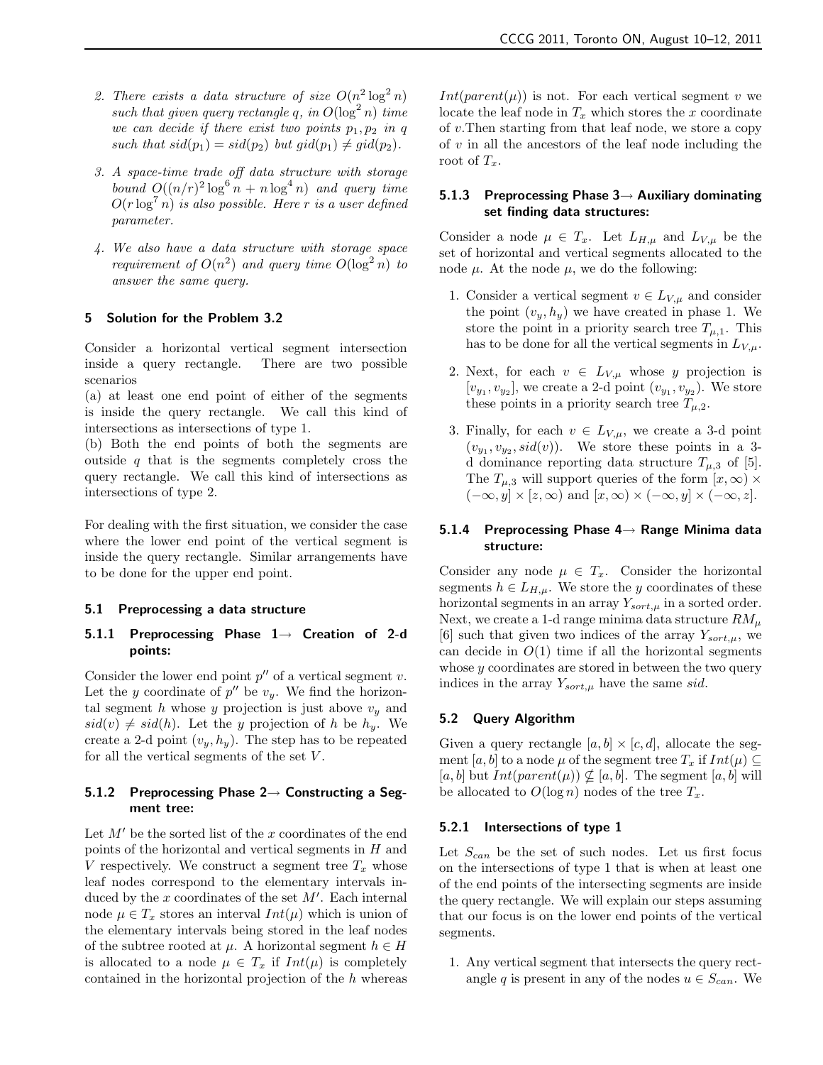- 2. There exists a data structure of size  $O(n^2 \log^2 n)$ such that given query rectangle q, in  $O(\log^2 n)$  time we can decide if there exist two points  $p_1, p_2$  in q such that  $sid(p_1) = sid(p_2)$  but  $gid(p_1) \neq gid(p_2)$ .
- 3. A space-time trade off data structure with storage bound  $O((n/r)^2 \log^6 n + n \log^4 n)$  and query time  $O(r \log^r n)$  is also possible. Here r is a user defined parameter.
- 4. We also have a data structure with storage space requirement of  $O(n^2)$  and query time  $O(\log^2 n)$  to answer the same query.

### 5 Solution for the Problem 3.2

Consider a horizontal vertical segment intersection inside a query rectangle. There are two possible scenarios

(a) at least one end point of either of the segments is inside the query rectangle. We call this kind of intersections as intersections of type 1.

(b) Both the end points of both the segments are outside  $q$  that is the segments completely cross the query rectangle. We call this kind of intersections as intersections of type 2.

For dealing with the first situation, we consider the case where the lower end point of the vertical segment is inside the query rectangle. Similar arrangements have to be done for the upper end point.

#### 5.1 Preprocessing a data structure

### 5.1.1 Preprocessing Phase  $1\rightarrow$  Creation of 2-d points:

Consider the lower end point  $p''$  of a vertical segment  $v$ . Let the y coordinate of  $p''$  be  $v_y$ . We find the horizontal segment h whose y projection is just above  $v_y$  and  $sid(v) \neq sid(h)$ . Let the y projection of h be h<sub>y</sub>. We create a 2-d point  $(v_y, h_y)$ . The step has to be repeated for all the vertical segments of the set  $V$ .

### 5.1.2 Preprocessing Phase  $2 \rightarrow$  Constructing a Segment tree:

Let  $M'$  be the sorted list of the x coordinates of the end points of the horizontal and vertical segments in H and V respectively. We construct a segment tree  $T_x$  whose leaf nodes correspond to the elementary intervals induced by the  $x$  coordinates of the set  $M'$ . Each internal node  $\mu \in T_x$  stores an interval  $Int(\mu)$  which is union of the elementary intervals being stored in the leaf nodes of the subtree rooted at  $\mu$ . A horizontal segment  $h \in H$ is allocated to a node  $\mu \in T_x$  if  $Int(\mu)$  is completely contained in the horizontal projection of the  $h$  whereas  $Int(parent(\mu))$  is not. For each vertical segment v we locate the leaf node in  $T_x$  which stores the x coordinate of v.Then starting from that leaf node, we store a copy of  $v$  in all the ancestors of the leaf node including the root of  $T_x$ .

### 5.1.3 Preprocessing Phase  $3 \rightarrow$  Auxiliary dominating set finding data structures:

Consider a node  $\mu \in T_x$ . Let  $L_{H,\mu}$  and  $L_{V,\mu}$  be the set of horizontal and vertical segments allocated to the node  $\mu$ . At the node  $\mu$ , we do the following:

- 1. Consider a vertical segment  $v \in L_{V,\mu}$  and consider the point  $(v_y, h_y)$  we have created in phase 1. We store the point in a priority search tree  $T_{\mu,1}$ . This has to be done for all the vertical segments in  $L_{V,\mu}$ .
- 2. Next, for each  $v \in L_{V,\mu}$  whose y projection is  $[v_{y_1}, v_{y_2}]$ , we create a 2-d point  $(v_{y_1}, v_{y_2})$ . We store these points in a priority search tree  $T_{\mu,2}$ .
- 3. Finally, for each  $v \in L_{V,\mu}$ , we create a 3-d point  $(v_{y_1}, v_{y_2}, sid(v))$ . We store these points in a 3d dominance reporting data structure  $T_{\mu,3}$  of [5]. The  $T_{\mu,3}$  will support queries of the form  $[x,\infty) \times$  $(-\infty, y] \times [z, \infty)$  and  $[x, \infty) \times (-\infty, y] \times (-\infty, z]$ .

### 5.1.4 Preprocessing Phase 4→ Range Minima data structure:

Consider any node  $\mu \in T_x$ . Consider the horizontal segments  $h \in L_{H,\mu}$ . We store the y coordinates of these horizontal segments in an array  $Y_{sort,\mu}$  in a sorted order. Next, we create a 1-d range minima data structure  $RM_{\mu}$ [6] such that given two indices of the array  $Y_{sort,u}$ , we can decide in  $O(1)$  time if all the horizontal segments whose y coordinates are stored in between the two query indices in the array  $Y_{sort,u}$  have the same sid.

### 5.2 Query Algorithm

Given a query rectangle  $[a, b] \times [c, d]$ , allocate the segment [a, b] to a node  $\mu$  of the segment tree  $T_x$  if  $Int(\mu) \subseteq$  $[a, b]$  but  $Int(parent(\mu)) \nsubseteq [a, b]$ . The segment  $[a, b]$  will be allocated to  $O(\log n)$  nodes of the tree  $T_x$ .

#### 5.2.1 Intersections of type 1

Let  $S_{can}$  be the set of such nodes. Let us first focus on the intersections of type 1 that is when at least one of the end points of the intersecting segments are inside the query rectangle. We will explain our steps assuming that our focus is on the lower end points of the vertical segments.

1. Any vertical segment that intersects the query rectangle q is present in any of the nodes  $u \in S_{can}$ . We